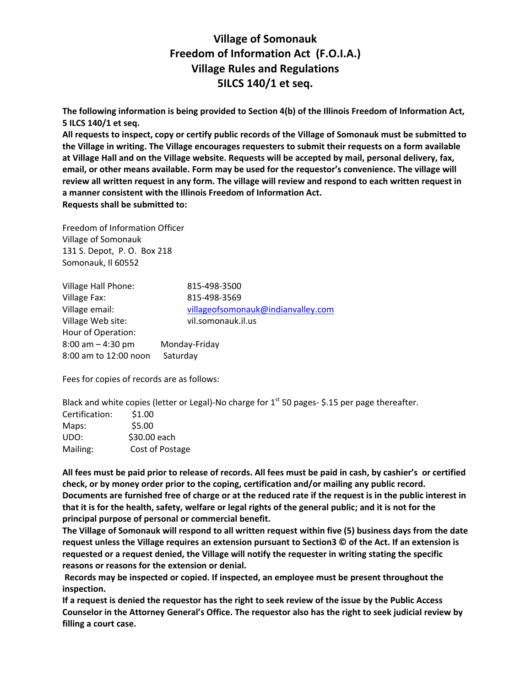## **Village of Somonauk Freedom of Information Act (F.O.I.A.) Village Rules and Regulations 5ILCS 140/1 et seq.**

**The following information is being provided to Section 4(b) of the Illinois Freedom of Information Act, 5 ILCS 140/1 et seq.**

All requests to inspect, copy or certify public records of the Village of Somonauk must be submitted to **the Village in writing. The Village encourages requesters to submit their requests on a form available at Village Hall and on the Village website. Requests will be accepted by mail, personal delivery, fax, email, or other means available. Form may be used for the requestor's convenience. The village will** review all written request in any form. The village will review and respond to each written request in **a manner consistent with the Illinois Freedom of Information Act. Requests shall be submitted to:** 

Freedom of Information Officer Village of Somonauk 131 S. Depot, P. O. Box 218 Somonauk, Il 60552

| <b>Village Hall Phone:</b> | 815-498-3500                       |
|----------------------------|------------------------------------|
| Village Fax:               | 815-498-3569                       |
| Village email:             | villageofsomonauk@indianvalley.com |
| Village Web site:          | vil.somonauk.il.us                 |
| Hour of Operation:         |                                    |
| $8:00$ am $-4:30$ pm       | Monday-Friday                      |
| 8:00 am to 12:00 noon      | Saturday                           |
|                            |                                    |

Fees for copies of records are as follows:

Black and white copies (letter or Legal)-No charge for  $1^{st}$  50 pages- \$.15 per page thereafter.

| Certification: | \$1.00          |
|----------------|-----------------|
| Maps:          | \$5.00          |
| UDO:           | \$30.00 each    |
| Mailing:       | Cost of Postage |

All fees must be paid prior to release of records. All fees must be paid in cash, by cashier's or certified **check, or by money order prior to the coping, certification and/or mailing any public record.** Documents are furnished free of charge or at the reduced rate if the request is in the public interest in that it is for the health, safety, welfare or legal rights of the general public; and it is not for the **principal purpose of personal or commercial benefit.** 

The Village of Somonauk will respond to all written request within five (5) business days from the date request unless the Village requires an extension pursuant to Section 3 $\degree$  of the Act. If an extension is **requested or a request denied, the Village will notify the requester in writing stating the specific reasons or reasons for the extension or denial.**

**Records may be inspected or copied. If inspected, an employee must be present throughout the inspection.**

If a request is denied the requestor has the right to seek review of the issue by the Public Access **Counselor in the Attorney General's Office. The requestor also has the right to seek judicial review by filling a court case.**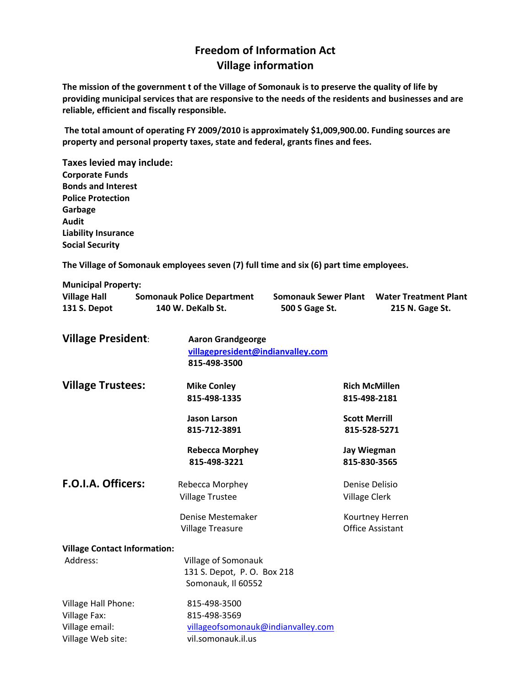## **Freedom of Information Act Village information**

The mission of the government t of the Village of Somonauk is to preserve the quality of life by **providing municipal services that are responsive to the needs of the residents and businesses and are reliable, efficient and fiscally responsible.**

**The total amount of operating FY 2009/2010 is approximately \$1,009,900.00. Funding sources are property and personal property taxes, state and federal, grants fines and fees.** 

**Taxes levied may include: Corporate Funds Bonds and Interest Police Protection Garbage Audit Liability Insurance Social Security**

**The Village of Somonauk employees seven (7) full time and six (6) part time employees.**

| <b>Municipal Property:</b> |                                   |                             |                              |
|----------------------------|-----------------------------------|-----------------------------|------------------------------|
| <b>Village Hall</b>        | <b>Somonauk Police Department</b> | <b>Somonauk Sewer Plant</b> | <b>Water Treatment Plant</b> |
| 131 S. Depot               | 140 W. DeKalb St.                 | 500 S Gage St.              | 215 N. Gage St.              |

| <b>Village President:</b>                                                         | <b>Aaron Grandgeorge</b><br>villagepresident@indianvalley.com<br>815-498-3500            |                                                           |
|-----------------------------------------------------------------------------------|------------------------------------------------------------------------------------------|-----------------------------------------------------------|
| <b>Village Trustees:</b>                                                          | <b>Mike Conley</b><br>815-498-1335                                                       | <b>Rich McMillen</b><br>815-498-2181                      |
|                                                                                   | <b>Jason Larson</b><br>815-712-3891                                                      | <b>Scott Merrill</b><br>815-528-5271                      |
|                                                                                   | <b>Rebecca Morphey</b><br>815-498-3221                                                   | <b>Jay Wiegman</b><br>815-830-3565                        |
| F.O.I.A. Officers:                                                                | Rebecca Morphey<br><b>Village Trustee</b><br>Denise Mestemaker                           | Denise Delisio<br><b>Village Clerk</b><br>Kourtney Herren |
|                                                                                   | <b>Village Treasure</b>                                                                  | <b>Office Assistant</b>                                   |
| <b>Village Contact Information:</b><br>Address:                                   | Village of Somonauk<br>131 S. Depot, P. O. Box 218<br>Somonauk, Il 60552                 |                                                           |
| <b>Village Hall Phone:</b><br>Village Fax:<br>Village email:<br>Village Web site: | 815-498-3500<br>815-498-3569<br>villageofsomonauk@indianvalley.com<br>vil.somonauk.il.us |                                                           |